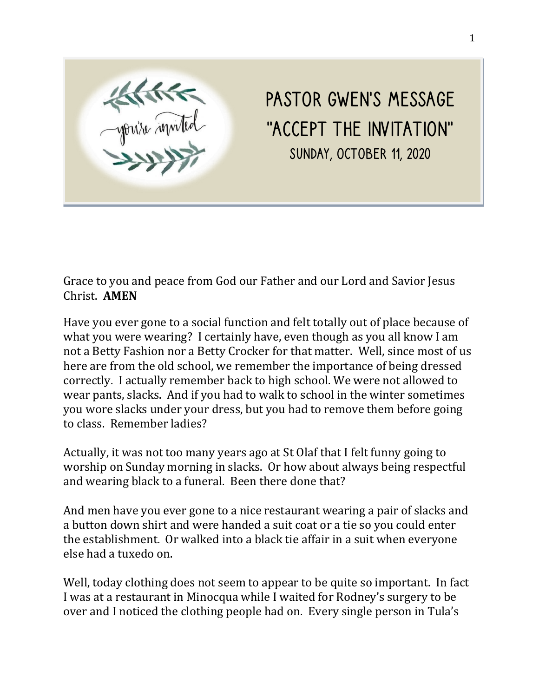

Pastor Gwen's Message "Accept the Invitation" Sunday, October 11, 2020

Grace to you and peace from God our Father and our Lord and Savior Jesus Christ. **AMEN**

Have you ever gone to a social function and felt totally out of place because of what you were wearing? I certainly have, even though as you all know I am not a Betty Fashion nor a Betty Crocker for that matter. Well, since most of us here are from the old school, we remember the importance of being dressed correctly. I actually remember back to high school. We were not allowed to wear pants, slacks. And if you had to walk to school in the winter sometimes you wore slacks under your dress, but you had to remove them before going to class. Remember ladies?

Actually, it was not too many years ago at St Olaf that I felt funny going to worship on Sunday morning in slacks. Or how about always being respectful and wearing black to a funeral. Been there done that?

And men have you ever gone to a nice restaurant wearing a pair of slacks and a button down shirt and were handed a suit coat or a tie so you could enter the establishment. Or walked into a black tie affair in a suit when everyone else had a tuxedo on.

Well, today clothing does not seem to appear to be quite so important. In fact I was at a restaurant in Minocqua while I waited for Rodney's surgery to be over and I noticed the clothing people had on. Every single person in Tula's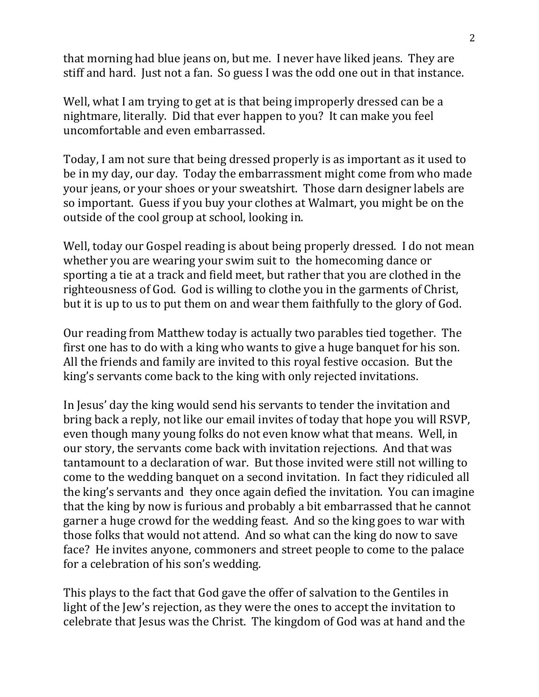that morning had blue jeans on, but me. I never have liked jeans. They are stiff and hard. Just not a fan. So guess I was the odd one out in that instance.

Well, what I am trying to get at is that being improperly dressed can be a nightmare, literally. Did that ever happen to you? It can make you feel uncomfortable and even embarrassed.

Today, I am not sure that being dressed properly is as important as it used to be in my day, our day. Today the embarrassment might come from who made your jeans, or your shoes or your sweatshirt. Those darn designer labels are so important. Guess if you buy your clothes at Walmart, you might be on the outside of the cool group at school, looking in.

Well, today our Gospel reading is about being properly dressed. I do not mean whether you are wearing your swim suit to the homecoming dance or sporting a tie at a track and field meet, but rather that you are clothed in the righteousness of God. God is willing to clothe you in the garments of Christ, but it is up to us to put them on and wear them faithfully to the glory of God.

Our reading from Matthew today is actually two parables tied together. The first one has to do with a king who wants to give a huge banquet for his son. All the friends and family are invited to this royal festive occasion. But the king's servants come back to the king with only rejected invitations.

In Jesus' day the king would send his servants to tender the invitation and bring back a reply, not like our email invites of today that hope you will RSVP, even though many young folks do not even know what that means. Well, in our story, the servants come back with invitation rejections. And that was tantamount to a declaration of war. But those invited were still not willing to come to the wedding banquet on a second invitation. In fact they ridiculed all the king's servants and they once again defied the invitation. You can imagine that the king by now is furious and probably a bit embarrassed that he cannot garner a huge crowd for the wedding feast. And so the king goes to war with those folks that would not attend. And so what can the king do now to save face? He invites anyone, commoners and street people to come to the palace for a celebration of his son's wedding.

This plays to the fact that God gave the offer of salvation to the Gentiles in light of the Jew's rejection, as they were the ones to accept the invitation to celebrate that Jesus was the Christ. The kingdom of God was at hand and the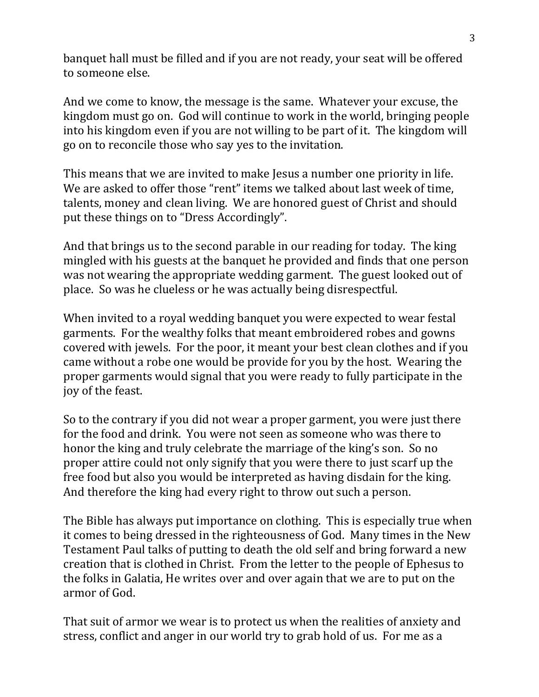banquet hall must be filled and if you are not ready, your seat will be offered to someone else.

And we come to know, the message is the same. Whatever your excuse, the kingdom must go on. God will continue to work in the world, bringing people into his kingdom even if you are not willing to be part of it. The kingdom will go on to reconcile those who say yes to the invitation.

This means that we are invited to make Jesus a number one priority in life. We are asked to offer those "rent" items we talked about last week of time, talents, money and clean living. We are honored guest of Christ and should put these things on to "Dress Accordingly".

And that brings us to the second parable in our reading for today. The king mingled with his guests at the banquet he provided and finds that one person was not wearing the appropriate wedding garment. The guest looked out of place. So was he clueless or he was actually being disrespectful.

When invited to a royal wedding banquet you were expected to wear festal garments. For the wealthy folks that meant embroidered robes and gowns covered with jewels. For the poor, it meant your best clean clothes and if you came without a robe one would be provide for you by the host. Wearing the proper garments would signal that you were ready to fully participate in the joy of the feast.

So to the contrary if you did not wear a proper garment, you were just there for the food and drink. You were not seen as someone who was there to honor the king and truly celebrate the marriage of the king's son. So no proper attire could not only signify that you were there to just scarf up the free food but also you would be interpreted as having disdain for the king. And therefore the king had every right to throw out such a person.

The Bible has always put importance on clothing. This is especially true when it comes to being dressed in the righteousness of God. Many times in the New Testament Paul talks of putting to death the old self and bring forward a new creation that is clothed in Christ. From the letter to the people of Ephesus to the folks in Galatia, He writes over and over again that we are to put on the armor of God.

That suit of armor we wear is to protect us when the realities of anxiety and stress, conflict and anger in our world try to grab hold of us. For me as a